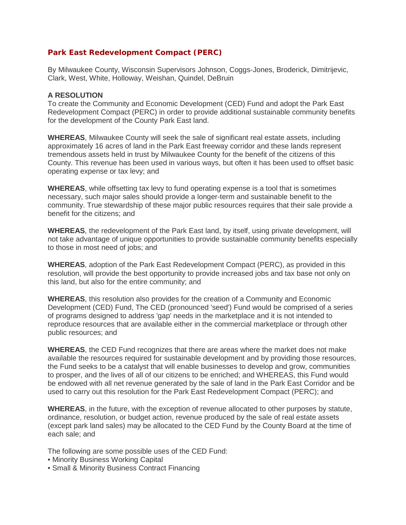# **Park East Redevelopment Compact (PERC)**

By Milwaukee County, Wisconsin Supervisors Johnson, Coggs-Jones, Broderick, Dimitrijevic, Clark, West, White, Holloway, Weishan, Quindel, DeBruin

#### **A RESOLUTION**

To create the Community and Economic Development (CED) Fund and adopt the Park East Redevelopment Compact (PERC) in order to provide additional sustainable community benefits for the development of the County Park East land.

**WHEREAS**, Milwaukee County will seek the sale of significant real estate assets, including approximately 16 acres of land in the Park East freeway corridor and these lands represent tremendous assets held in trust by Milwaukee County for the benefit of the citizens of this County. This revenue has been used in various ways, but often it has been used to offset basic operating expense or tax levy; and

**WHEREAS**, while offsetting tax levy to fund operating expense is a tool that is sometimes necessary, such major sales should provide a longer-term and sustainable benefit to the community. True stewardship of these major public resources requires that their sale provide a benefit for the citizens; and

**WHEREAS**, the redevelopment of the Park East land, by itself, using private development, will not take advantage of unique opportunities to provide sustainable community benefits especially to those in most need of jobs; and

**WHEREAS**, adoption of the Park East Redevelopment Compact (PERC), as provided in this resolution, will provide the best opportunity to provide increased jobs and tax base not only on this land, but also for the entire community; and

**WHEREAS**, this resolution also provides for the creation of a Community and Economic Development (CED) Fund, The CED (pronounced 'seed') Fund would be comprised of a series of programs designed to address 'gap' needs in the marketplace and it is not intended to reproduce resources that are available either in the commercial marketplace or through other public resources; and

**WHEREAS**, the CED Fund recognizes that there are areas where the market does not make available the resources required for sustainable development and by providing those resources, the Fund seeks to be a catalyst that will enable businesses to develop and grow, communities to prosper, and the lives of all of our citizens to be enriched; and WHEREAS, this Fund would be endowed with all net revenue generated by the sale of land in the Park East Corridor and be used to carry out this resolution for the Park East Redevelopment Compact (PERC); and

**WHEREAS**, in the future, with the exception of revenue allocated to other purposes by statute, ordinance, resolution, or budget action, revenue produced by the sale of real estate assets (except park land sales) may be allocated to the CED Fund by the County Board at the time of each sale; and

The following are some possible uses of the CED Fund:

- Minority Business Working Capital
- Small & Minority Business Contract Financing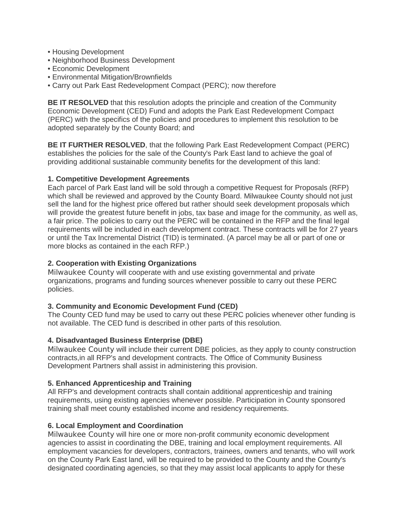- Housing Development
- Neighborhood Business Development
- Economic Development
- Environmental Mitigation/Brownfields
- Carry out Park East Redevelopment Compact (PERC); now therefore

**BE IT RESOLVED** that this resolution adopts the principle and creation of the Community Economic Development (CED) Fund and adopts the Park East Redevelopment Compact (PERC) with the specifics of the policies and procedures to implement this resolution to be adopted separately by the County Board; and

**BE IT FURTHER RESOLVED**, that the following Park East Redevelopment Compact (PERC) establishes the policies for the sale of the County's Park East land to achieve the goal of providing additional sustainable community benefits for the development of this land:

### **1. Competitive Development Agreements**

Each parcel of Park East land will be sold through a competitive Request for Proposals (RFP) which shall be reviewed and approved by the County Board. Milwaukee County should not just sell the land for the highest price offered but rather should seek development proposals which will provide the greatest future benefit in jobs, tax base and image for the community, as well as, a fair price. The policies to carry out the PERC will be contained in the RFP and the final legal requirements will be included in each development contract. These contracts will be for 27 years or until the Tax Incremental District (TID) is terminated. (A parcel may be all or part of one or more blocks as contained in the each RFP.)

### **2. Cooperation with Existing Organizations**

Milwaukee County will cooperate with and use existing governmental and private organizations, programs and funding sources whenever possible to carry out these PERC policies.

# **3. Community and Economic Development Fund (CED)**

The County CED fund may be used to carry out these PERC policies whenever other funding is not available. The CED fund is described in other parts of this resolution.

# **4. Disadvantaged Business Enterprise (DBE)**

Milwaukee County will include their current DBE policies, as they apply to county construction contracts,in all RFP's and development contracts. The Office of Community Business Development Partners shall assist in administering this provision.

#### **5. Enhanced Apprenticeship and Training**

All RFP's and development contracts shall contain additional apprenticeship and training requirements, using existing agencies whenever possible. Participation in County sponsored training shall meet county established income and residency requirements.

# **6. Local Employment and Coordination**

Milwaukee County will hire one or more non-profit community economic development agencies to assist in coordinating the DBE, training and local employment requirements. All employment vacancies for developers, contractors, trainees, owners and tenants, who will work on the County Park East land, will be required to be provided to the County and the County's designated coordinating agencies, so that they may assist local applicants to apply for these